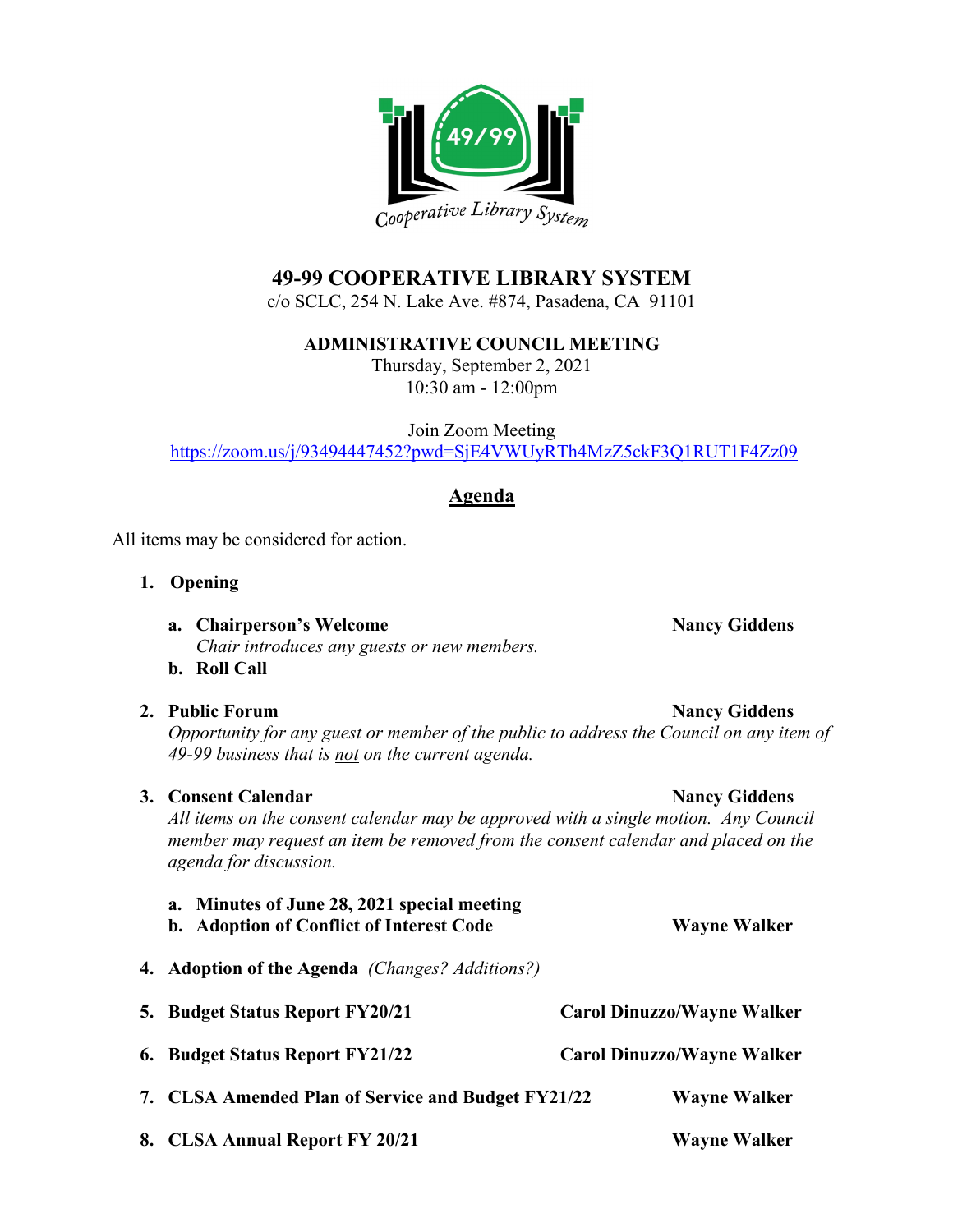

# **49-99 COOPERATIVE LIBRARY SYSTEM**

c/o SCLC, 254 N. Lake Ave. #874, Pasadena, CA 91101

**ADMINISTRATIVE COUNCIL MEETING**

Thursday, September 2, 2021 10:30 am - 12:00pm

Join Zoom Meeting <https://zoom.us/j/93494447452?pwd=SjE4VWUyRTh4MzZ5ckF3Q1RUT1F4Zz09>

## **Agenda**

All items may be considered for action.

- **1. Opening**
	- **a. Chairperson's Welcome Nancy Giddens** *Chair introduces any guests or new members.*
	- **b. Roll Call**

### **2. Public Forum Nancy Giddens**

*Opportunity for any guest or member of the public to address the Council on any item of 49-99 business that is not on the current agenda.*

# **3. Consent Calendar Nancy Giddens**

*All items on the consent calendar may be approved with a single motion. Any Council member may request an item be removed from the consent calendar and placed on the agenda for discussion.*

| a. Minutes of June 28, 2021 special meeting<br>b. Adoption of Conflict of Interest Code |                                   | <b>Wayne Walker</b> |
|-----------------------------------------------------------------------------------------|-----------------------------------|---------------------|
| <b>4. Adoption of the Agenda</b> (Changes? Additions?)                                  |                                   |                     |
| 5. Budget Status Report FY20/21                                                         | <b>Carol Dinuzzo/Wayne Walker</b> |                     |
| 6. Budget Status Report FY21/22                                                         | <b>Carol Dinuzzo/Wayne Walker</b> |                     |
| 7. CLSA Amended Plan of Service and Budget FY21/22                                      |                                   | <b>Wayne Walker</b> |
| 8. CLSA Annual Report FY 20/21                                                          |                                   | <b>Wayne Walker</b> |